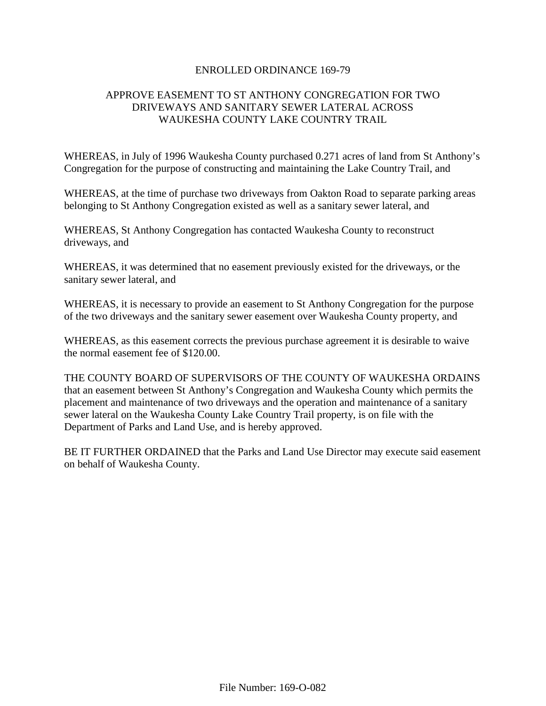# ENROLLED ORDINANCE 169-79

# APPROVE EASEMENT TO ST ANTHONY CONGREGATION FOR TWO DRIVEWAYS AND SANITARY SEWER LATERAL ACROSS WAUKESHA COUNTY LAKE COUNTRY TRAIL

WHEREAS, in July of 1996 Waukesha County purchased 0.271 acres of land from St Anthony's Congregation for the purpose of constructing and maintaining the Lake Country Trail, and

WHEREAS, at the time of purchase two driveways from Oakton Road to separate parking areas belonging to St Anthony Congregation existed as well as a sanitary sewer lateral, and

WHEREAS, St Anthony Congregation has contacted Waukesha County to reconstruct driveways, and

WHEREAS, it was determined that no easement previously existed for the driveways, or the sanitary sewer lateral, and

WHEREAS, it is necessary to provide an easement to St Anthony Congregation for the purpose of the two driveways and the sanitary sewer easement over Waukesha County property, and

WHEREAS, as this easement corrects the previous purchase agreement it is desirable to waive the normal easement fee of \$120.00.

THE COUNTY BOARD OF SUPERVISORS OF THE COUNTY OF WAUKESHA ORDAINS that an easement between St Anthony's Congregation and Waukesha County which permits the placement and maintenance of two driveways and the operation and maintenance of a sanitary sewer lateral on the Waukesha County Lake Country Trail property, is on file with the Department of Parks and Land Use, and is hereby approved.

BE IT FURTHER ORDAINED that the Parks and Land Use Director may execute said easement on behalf of Waukesha County.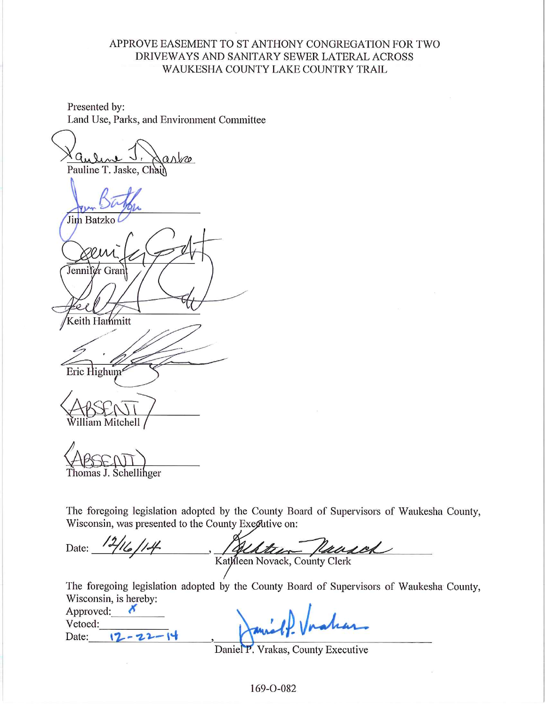# APPROVE EASEMENT TO ST ANTHONY CONGREGATION FOR TWO DRIVEWAYS AND SANITARY SEWER LATERAL ACROSS WAUKESHA COUNTY LAKE COUNTRY TRAIL

Presented by: Land Use, Parks, and Environment Committee

arbe Pauline T. Jaske, Chain Jim Batzko Jennifer Grant Keith Hammitt Eric Highum<sup>s</sup>

lliam Mitchell

Thomas J. Schellihger

The foregoing legislation adopted by the County Board of Supervisors of Waukesha County, Wisconsin, was presented to the County Exective on:

Date:  $\frac{12}{16}/14$ Kattern Peacod

The foregoing legislation adopted by the County Board of Supervisors of Waukesha County, Wisconsin, is hereby:

| Approved: |  |
|-----------|--|
| Vetoed:   |  |
| Date:     |  |

Daniel P. Vrakas, County Executive

169-0-082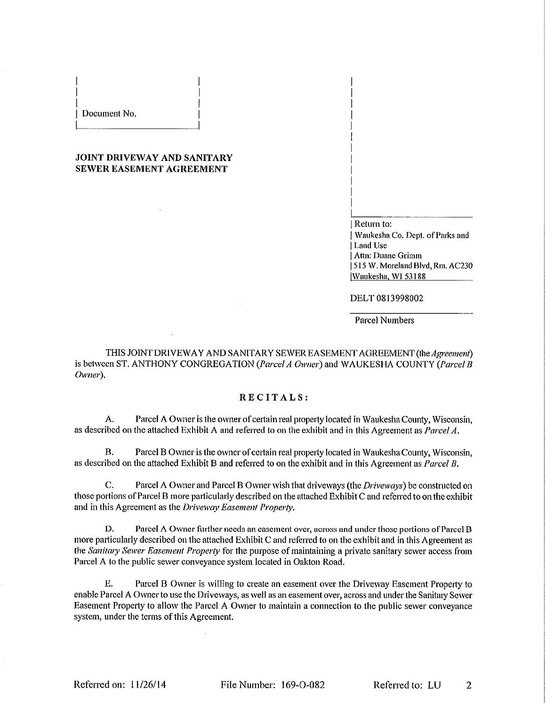#### Document No.

### **JOINT DRIVEWAY AND SANITARY SEWER EASEMENT AGREEMENT**

| Return to: | Waukesha Co. Dept. of Parks and Land Use Attn: Duane Grimm 515 W. Moreland Blvd, Rm. AC230 Waukesha, WI 53188

DELT 0813998002

**Parcel Numbers** 

THIS JOINT DRIVEWAY AND SANITARY SEWER EASEMENT AGREEMENT (the Agreement) is between ST. ANTHONY CONGREGATION (Parcel A Owner) and WAUKESHA COUNTY (Parcel B Owner).

## RECITALS:

Parcel A Owner is the owner of certain real property located in Waukesha County, Wisconsin,  $A_{1}$ as described on the attached Exhibit A and referred to on the exhibit and in this Agreement as Parcel A.

Parcel B Owner is the owner of certain real property located in Waukesha County, Wisconsin, **B.** as described on the attached Exhibit B and referred to on the exhibit and in this Agreement as *Parcel B*.

 $\mathbf{C}$ . Parcel A Owner and Parcel B Owner wish that driveways (the Driveways) be constructed on those portions of Parcel B more particularly described on the attached Exhibit C and referred to on the exhibit and in this Agreement as the Driveway Easement Property.

D. Parcel A Owner further needs an easement over, across and under those portions of Parcel B more particularly described on the attached Exhibit C and referred to on the exhibit and in this Agreement as the Sanitary Sewer Easement Property for the purpose of maintaining a private sanitary sewer access from Parcel A to the public sewer conveyance system located in Oakton Road.

Ε. Parcel B Owner is willing to create an easement over the Driveway Easement Property to enable Parcel A Owner to use the Driveways, as well as an easement over, across and under the Sanitary Sewer Easement Property to allow the Parcel A Owner to maintain a connection to the public sewer conveyance system, under the terms of this Agreement.

Referred to: LU  $\mathfrak{D}$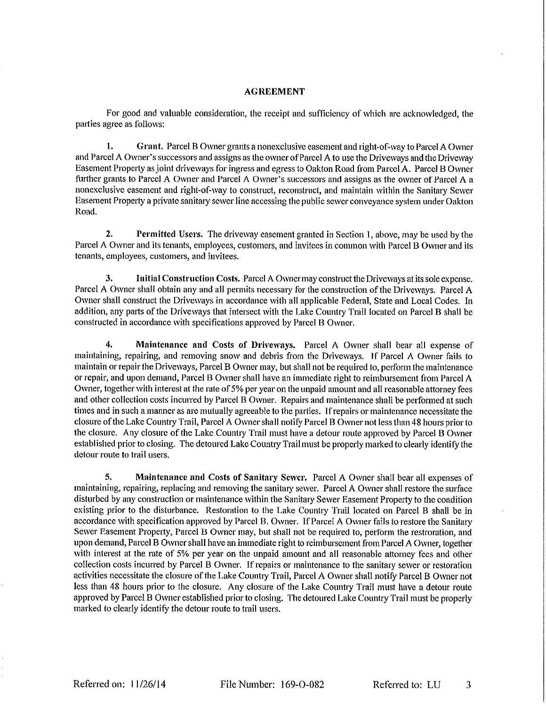#### **AGREEMENT**

For good and valuable consideration, the receipt and sufficiency of which are acknowledged, the parties agree as follows:

1. Grant. Parcel B Owner grants a nonexclusive easement and right-of-way to Parcel A Owner and Parcel A Owner's successors and assigns as the owner of Parcel A to use the Driveways and the Driveway Easement Property as joint driveways for ingress and egress to Oakton Road from Parcel A. Parcel B Owner further grants to Parcel A Owner and Parcel A Owner's successors and assigns as the owner of Parcel A a nonexclusive easement and right-of-way to construct, reconstruct, and maintain within the Sanitary Sewer Easement Property a private sanitary sewer line accessing the public sewer conveyance system under Oakton Road.

 $2.$ Permitted Users. The driveway easement granted in Section 1, above, may be used by the Parcel A Owner and its tenants, employees, customers, and invitees in common with Parcel B Owner and its tenants, employees, customers, and invitees.

3. Initial Construction Costs. Parcel A Owner may construct the Driveways at its sole expense. Parcel A Owner shall obtain any and all permits necessary for the construction of the Driveways. Parcel A Owner shall construct the Driveways in accordance with all applicable Federal, State and Local Codes. In addition, any parts of the Driveways that intersect with the Lake Country Trail located on Parcel B shall be constructed in accordance with specifications approved by Parcel B Owner.

4. Maintenance and Costs of Driveways. Parcel A Owner shall bear all expense of maintaining, repairing, and removing snow and debris from the Driveways. If Parcel A Owner fails to maintain or repair the Driveways, Parcel B Owner may, but shall not be required to, perform the maintenance or repair, and upon demand, Parcel B Owner shall have an immediate right to reimbursement from Parcel A Owner, together with interest at the rate of 5% per year on the unpaid amount and all reasonable attorney fees and other collection costs incurred by Parcel B Owner. Repairs and maintenance shall be performed at such times and in such a manner as are mutually agreeable to the parties. If repairs or maintenance necessitate the closure of the Lake Country Trail, Parcel A Owner shall notify Parcel B Owner not less than 48 hours prior to the closure. Any closure of the Lake Country Trail must have a detour route approved by Parcel B Owner established prior to closing. The detoured Lake Country Trail must be properly marked to clearly identify the detour route to trail users.

5. Maintenance and Costs of Sanitary Sewer. Parcel A Owner shall bear all expenses of maintaining, repairing, replacing and removing the sanitary sewer. Parcel A Owner shall restore the surface disturbed by any construction or maintenance within the Sanitary Sewer Easement Property to the condition existing prior to the disturbance. Restoration to the Lake Country Trail located on Parcel B shall be in accordance with specification approved by Parcel B. Owner. If Parcel A Owner fails to restore the Sanitary Sewer Easement Property, Parcel B Owner may, but shall not be required to, perform the restroration, and upon demand, Parcel B Owner shall have an immediate right to reimbursement from Parcel A Owner, together with interest at the rate of 5% per year on the unpaid amount and all reasonable attorney fees and other collection costs incurred by Parcel B Owner. If repairs or maintenance to the sanitary sewer or restoration activities necessitate the closure of the Lake Country Trail, Parcel A Owner shall notify Parcel B Owner not less than 48 hours prior to the closure. Any closure of the Lake Country Trail must have a detour route approved by Parcel B Owner established prior to closing. The detoured Lake Country Trail must be properly marked to clearly identify the detour route to trail users.

File Number: 169-O-082

Referred to: LU 3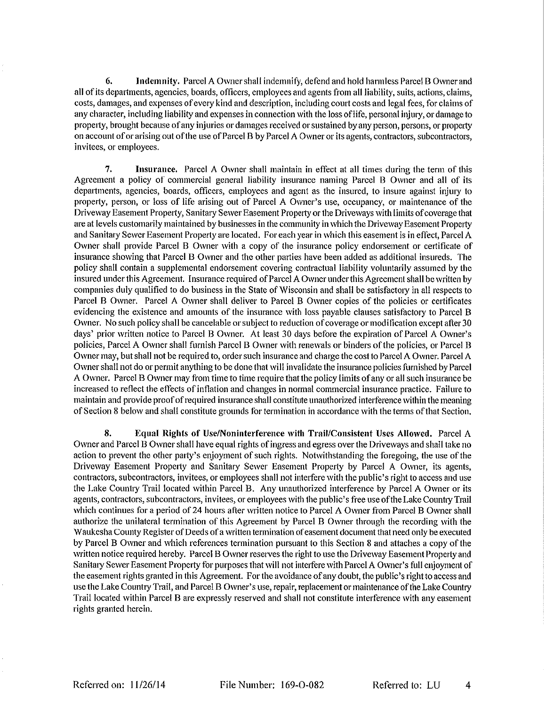6. Indemnity. Parcel A Owner shall indemnify, defend and hold harmless Parcel B Owner and all of its departments, agencies, boards, officers, employees and agents from all liability, suits, actions, claims, costs, damages, and expenses of every kind and description, including court costs and legal fees, for claims of any character, including liability and expenses in connection with the loss of life, personal injury, or damage to property, brought because of any injuries or damages received or sustained by any person, persons, or property on account of or arising out of the use of Parcel B by Parcel A Owner or its agents, contractors, subcontractors, invitees, or employees.

7. Insurance. Parcel A Owner shall maintain in effect at all times during the term of this Agreement a policy of commercial general liability insurance naming Parcel B Owner and all of its departments, agencies, boards, officers, employees and agent as the insured, to insure against injury to property, person, or loss of life arising out of Parcel A Owner's use, occupancy, or maintenance of the Driveway Easement Property, Sanitary Sewer Easement Property or the Driveways with limits of coverage that are at levels customarily maintained by businesses in the community in which the Driveway Easement Property and Sanitary Sewer Easement Property are located. For each year in which this easement is in effect, Parcel A Owner shall provide Parcel B Owner with a copy of the insurance policy endorsement or certificate of insurance showing that Parcel B Owner and the other parties have been added as additional insureds. The policy shall contain a supplemental endorsement covering contractual liability voluntarily assumed by the insured under this Agreement. Insurance required of Parcel A Owner under this Agreement shall be written by companies duly qualified to do business in the State of Wisconsin and shall be satisfactory in all respects to Parcel B Owner. Parcel A Owner shall deliver to Parcel B Owner copies of the policies or certificates evidencing the existence and amounts of the insurance with loss payable clauses satisfactory to Parcel B Owner. No such policy shall be cancelable or subject to reduction of coverage or modification except after 30 days' prior written notice to Parcel B Owner. At least 30 days before the expiration of Parcel A Owner's policies, Parcel A Owner shall furnish Parcel B Owner with renewals or binders of the policies, or Parcel B Owner may, but shall not be required to, order such insurance and charge the cost to Parcel A Owner. Parcel A Owner shall not do or permit anything to be done that will invalidate the insurance policies furnished by Parcel A Owner. Parcel B Owner may from time to time require that the policy limits of any or all such insurance be increased to reflect the effects of inflation and changes in normal commercial insurance practice. Failure to maintain and provide proof of required insurance shall constitute unauthorized interference within the meaning of Section 8 below and shall constitute grounds for termination in accordance with the terms of that Section.

8. Equal Rights of Use/Noninterference with Trail/Consistent Uses Allowed. Parcel A Owner and Parcel B Owner shall have equal rights of ingress and egress over the Driveways and shall take no action to prevent the other party's enjoyment of such rights. Notwithstanding the foregoing, the use of the Driveway Easement Property and Sanitary Sewer Easement Property by Parcel A Owner, its agents, contractors, subcontractors, invitees, or employees shall not interfere with the public's right to access and use the Lake Country Trail located within Parcel B. Any unauthorized interference by Parcel A Owner or its agents, contractors, subcontractors, invitees, or employees with the public's free use of the Lake Country Trail which continues for a period of 24 hours after written notice to Parcel A Owner from Parcel B Owner shall authorize the unilateral termination of this Agreement by Parcel B Owner through the recording with the Waukesha County Register of Deeds of a written termination of easement document that need only be executed by Parcel B Owner and which references termination pursuant to this Section 8 and attaches a copy of the written notice required hereby. Parcel B Owner reserves the right to use the Driveway Easement Property and Sanitary Sewer Easement Property for purposes that will not interfere with Parcel A Owner's full enjoyment of the easement rights granted in this Agreement. For the avoidance of any doubt, the public's right to access and use the Lake Country Trail, and Parcel B Owner's use, repair, replacement or maintenance of the Lake Country Trail located within Parcel B are expressly reserved and shall not constitute interference with any easement rights granted herein.

File Number: 169-O-082

Referred to: LU

4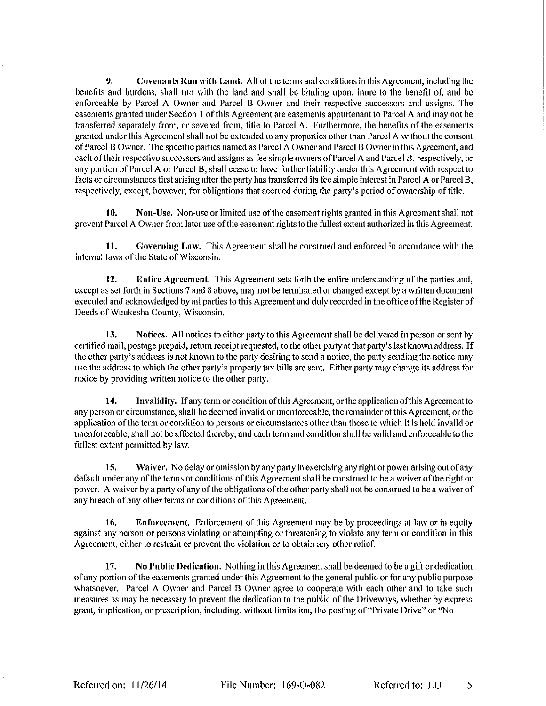9. Covenants Run with Land. All of the terms and conditions in this Agreement, including the benefits and burdens, shall run with the land and shall be binding upon, inure to the benefit of, and be enforceable by Parcel A Owner and Parcel B Owner and their respective successors and assigns. The easements granted under Section 1 of this Agreement are easements appurtenant to Parcel A and may not be transferred separately from, or severed from, title to Parcel A. Furthermore, the benefits of the easements granted under this Agreement shall not be extended to any properties other than Parcel A without the consent of Parcel B Owner. The specific parties named as Parcel A Owner and Parcel B Owner in this Agreement, and each of their respective successors and assigns as fee simple owners of Parcel A and Parcel B, respectively, or any portion of Parcel A or Parcel B, shall cease to have further liability under this Agreement with respect to facts or circumstances first arising after the party has transferred its fee simple interest in Parcel A or Parcel B, respectively, except, however, for obligations that accrued during the party's period of ownership of title.

Non-Use. Non-use or limited use of the easement rights granted in this Agreement shall not 10. prevent Parcel A Owner from later use of the easement rights to the fullest extent authorized in this Agreement.

11. Governing Law. This Agreement shall be construed and enforced in accordance with the internal laws of the State of Wisconsin.

 $12.$ Entire Agreement. This Agreement sets forth the entire understanding of the parties and, except as set forth in Sections 7 and 8 above, may not be terminated or changed except by a written document executed and acknowledged by all parties to this Agreement and duly recorded in the office of the Register of Deeds of Waukesha County, Wisconsin.

13. Notices. All notices to either party to this Agreement shall be delivered in person or sent by certified mail, postage prepaid, return receipt requested, to the other party at that party's last known address. If the other party's address is not known to the party desiring to send a notice, the party sending the notice may use the address to which the other party's property tax bills are sent. Either party may change its address for notice by providing written notice to the other party.

14. Invalidity. If any term or condition of this Agreement, or the application of this Agreement to any person or circumstance, shall be deemed invalid or unenforceable, the remainder of this Agreement, or the application of the term or condition to persons or circumstances other than those to which it is held invalid or unenforceable, shall not be affected thereby, and each term and condition shall be valid and enforceable to the fullest extent permitted by law.

15. Waiver. No delay or omission by any party in exercising any right or power arising out of any default under any of the terms or conditions of this Agreement shall be construed to be a waiver of the right or power. A waiver by a party of any of the obligations of the other party shall not be construed to be a waiver of any breach of any other terms or conditions of this Agreement.

Enforcement. Enforcement of this Agreement may be by proceedings at law or in equity 16. against any person or persons violating or attempting or threatening to violate any term or condition in this Agreement, either to restrain or prevent the violation or to obtain any other relief.

17. No Public Dedication. Nothing in this Agreement shall be deemed to be a gift or dedication of any portion of the easements granted under this Agreement to the general public or for any public purpose whatsoever. Parcel A Owner and Parcel B Owner agree to cooperate with each other and to take such measures as may be necessary to prevent the dedication to the public of the Driveways, whether by express grant, implication, or prescription, including, without limitation, the posting of "Private Drive" or "No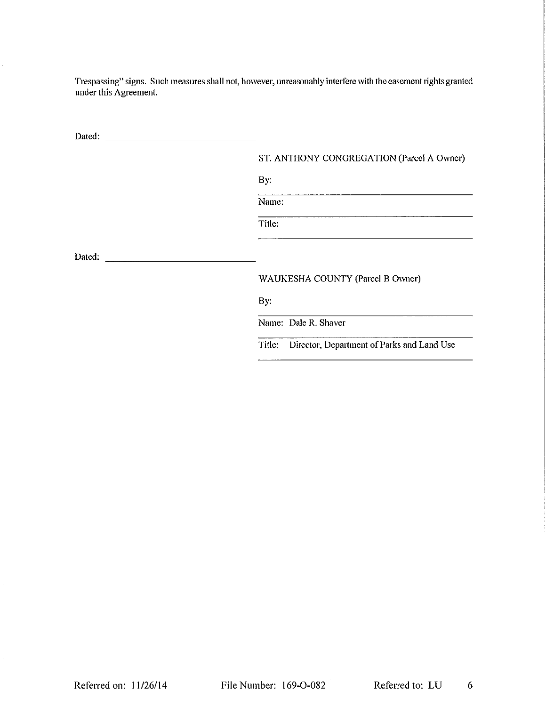Trespassing" signs. Such measures shall not, however, unreasonably interfere with the easement rights granted under this Agreement.

ST. ANTHONY CONGREGATION (Parcel A Owner)

By:

Name:

Title:

### WAUKESHA COUNTY (Parcel B Owner)

By:

Name: Dale R. Shaver

Title: Director, Department of Parks and Land Use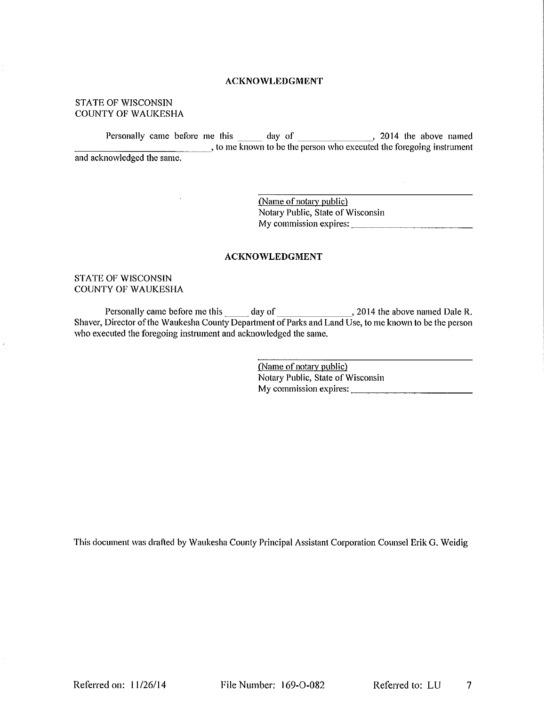### **ACKNOWLEDGMENT**

### **STATE OF WISCONSIN COUNTY OF WAUKESHA**

Personally came before me this day of 3014 the above named<br>, to me known to be the person who executed the foregoing instrument and acknowledged the same.

> (Name of notary public) Notary Public, State of Wisconsin My commission expires:

> > $\mathcal{A}_\mathrm{c}$

### **ACKNOWLEDGMENT**

#### **STATE OF WISCONSIN COUNTY OF WAUKESHA**

who executed the foregoing instrument and acknowledged the same.

> (Name of notary public) Notary Public, State of Wisconsin My commission expires:

This document was drafted by Waukesha County Principal Assistant Corporation Counsel Erik G. Weidig

Referred on:  $11/26/14$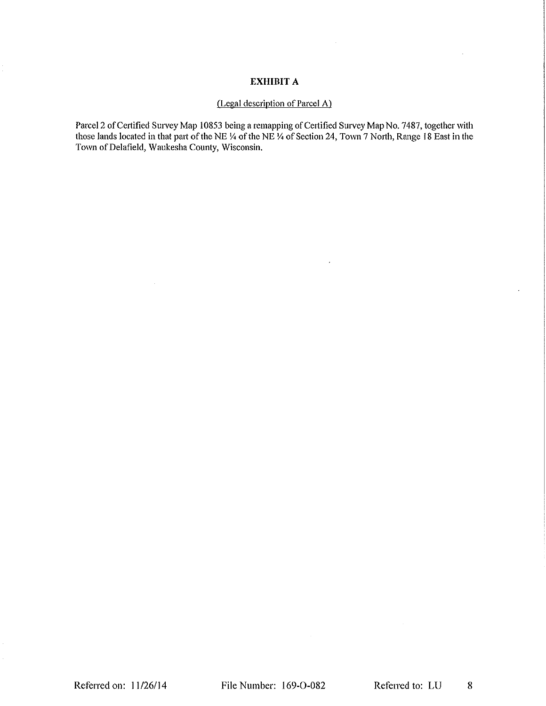# **EXHIBIT A**

# (Legal description of Parcel A)

Parcel 2 of Certified Survey Map 10853 being a remapping of Certified Survey Map No. 7487, together with those lands located in that part of the NE  $\frac{1}{4}$  of the NE  $\frac{1}{4}$  of Section 24, Town 7 North, Range 18 East i Town of Delafield, Waukesha County, Wisconsin.

 $\bar{z}$ 

 $\hat{\boldsymbol{\beta}}$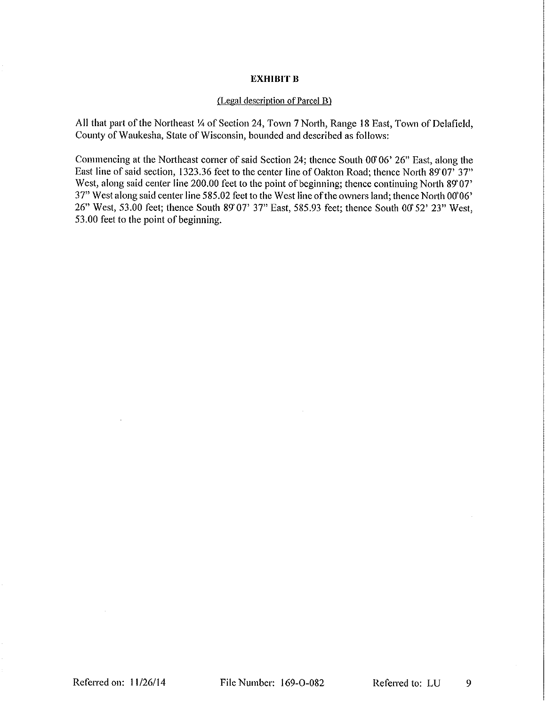### **EXHIBIT B**

### (Legal description of Parcel B)

All that part of the Northeast 1/4 of Section 24, Town 7 North, Range 18 East, Town of Delafield, County of Waukesha, State of Wisconsin, bounded and described as follows:

Commencing at the Northeast corner of said Section 24; thence South 00 06' 26" East, along the East line of said section, 1323.36 feet to the center line of Oakton Road; thence North 89 07' 37" West, along said center line 200.00 feet to the point of beginning; thence continuing North 89 07' 37" West along said center line 585.02 feet to the West line of the owners land; thence North 0006' 26" West, 53.00 feet; thence South 89 07' 37" East, 585.93 feet; thence South 00' 52' 23" West, 53.00 feet to the point of beginning.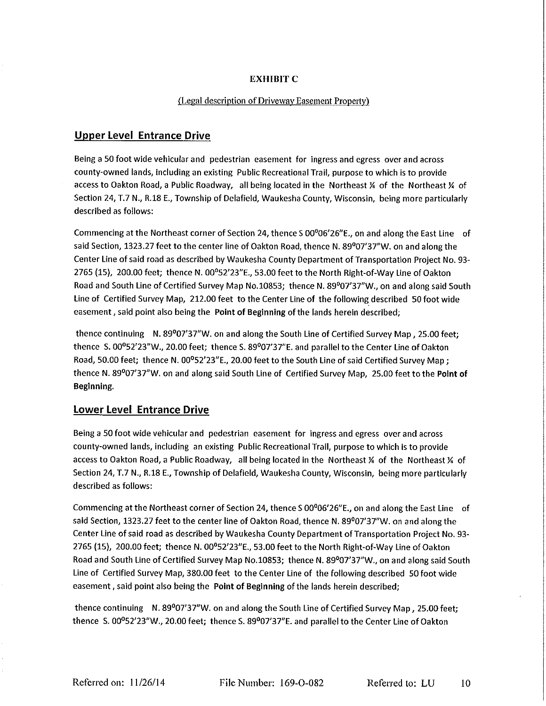## **EXHIBIT C**

### (Legal description of Driveway Easement Property)

# **Upper Level Entrance Drive**

Being a 50 foot wide vehicular and pedestrian easement for ingress and egress over and across county-owned lands, including an existing Public Recreational Trail, purpose to which is to provide access to Oakton Road, a Public Roadway, all being located in the Northeast X of the Northeast X of Section 24, T.7 N., R.18 E., Township of Delafield, Waukesha County, Wisconsin, being more particularly described as follows:

Commencing at the Northeast corner of Section 24, thence S 00<sup>0</sup>06'26"E., on and along the East Line of said Section, 1323.27 feet to the center line of Oakton Road, thence N. 89°07'37"W. on and along the Center Line of said road as described by Waukesha County Department of Transportation Project No. 93-2765 (15), 200.00 feet; thence N. 00°52'23"E., 53.00 feet to the North Right-of-Way Line of Oakton Road and South Line of Certified Survey Map No.10853; thence N. 89°07'37"W., on and along said South Line of Certified Survey Map, 212.00 feet to the Center Line of the following described 50 foot wide easement, said point also being the Point of Beginning of the lands herein described;

thence continuing N. 89°07'37"W. on and along the South Line of Certified Survey Map, 25.00 feet; thence S. 00°52'23"W., 20.00 feet; thence S. 89°07'37"E. and parallel to the Center Line of Oakton Road, 50.00 feet; thence N. 00°52'23"E., 20.00 feet to the South Line of said Certified Survey Map ; thence N. 89°07'37"W, on and along said South Line of Certified Survey Map, 25.00 feet to the Point of Beginning

## **Lower Level Entrance Drive**

Being a 50 foot wide vehicular and pedestrian easement for ingress and egress over and across county-owned lands, including an existing Public Recreational Trail, purpose to which is to provide access to Oakton Road, a Public Roadway, all being located in the Northeast 1/4 of the Northeast 1/4 of Section 24, T.7 N., R.18 E., Township of Delafield, Waukesha County, Wisconsin, being more particularly described as follows:

Commencing at the Northeast corner of Section 24, thence S 00<sup>0</sup>06'26"E., on and along the East Line of said Section, 1323.27 feet to the center line of Oakton Road, thence N. 89°07'37"W, on and along the Center Line of said road as described by Waukesha County Department of Transportation Project No. 93-2765 (15), 200.00 feet; thence N. 00°52'23"E., 53.00 feet to the North Right-of-Way Line of Oakton Road and South Line of Certified Survey Map No.10853; thence N. 89°07'37"W., on and along said South Line of Certified Survey Map, 380.00 feet to the Center Line of the following described 50 foot wide easement, said point also being the Point of Beginning of the lands herein described;

thence continuing N. 89°07'37"W. on and along the South Line of Certified Survey Map, 25.00 feet; thence S. 00°52'23"W., 20.00 feet; thence S. 89°07'37"E. and parallel to the Center Line of Oakton